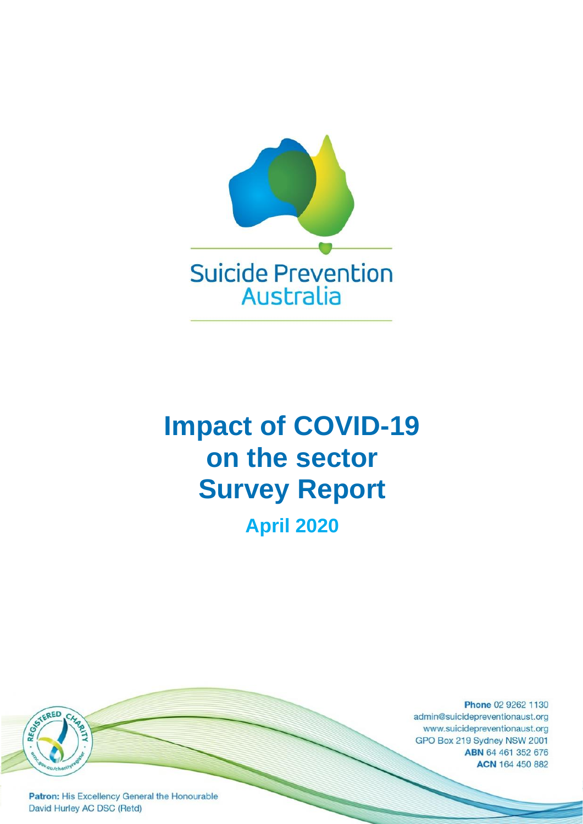

# **Impact of COVID-19 on the sector Survey Report April 2020**

Phone 02 9262 1130 admin@suicidepreventionaust.org www.suicidepreventionaust.org GPO Box 219 Sydney NSW 2001 ABN 64 461 352 676 ACN 164 450 882

Patron: His Excellency General the Honourable David Hurley AC DSC (Retd)

REGISTERED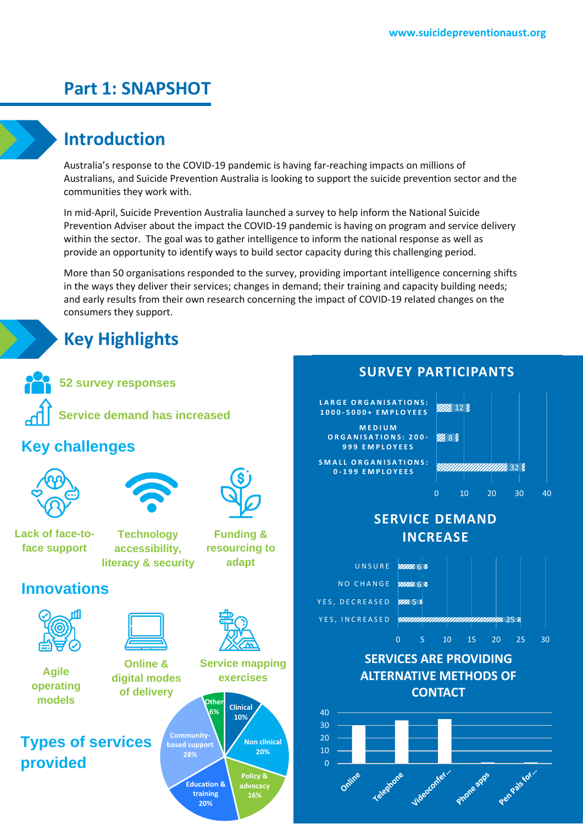## **Part 1: SNAPSHOT**

## **Introduction**

Australia's response to the COVID-19 pandemic is having far-reaching impacts on millions of Australians, and Suicide Prevention Australia is looking to support the suicide prevention sector and the communities they work with.

In mid-April, Suicide Prevention Australia launched a survey to help inform the National Suicide Prevention Adviser about the impact the COVID-19 pandemic is having on program and service delivery within the sector. The goal was to gather intelligence to inform the national response as well as provide an opportunity to identify ways to build sector capacity during this challenging period.

More than 50 organisations responded to the survey, providing important intelligence concerning shifts in the ways they deliver their services; changes in demand; their training and capacity building needs; and early results from their own research concerning the impact of COVID-19 related changes on the consumers they support.

## **Key Highlights**

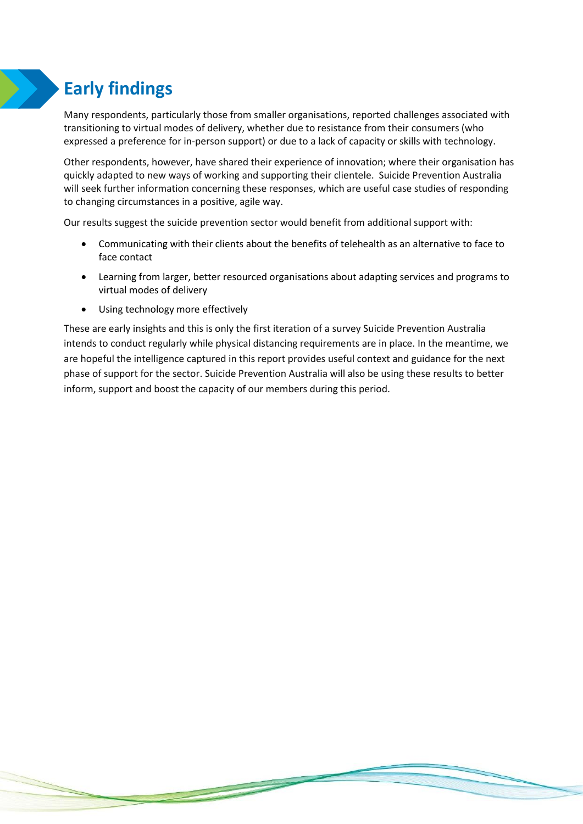## **Early findings**

Many respondents, particularly those from smaller organisations, reported challenges associated with transitioning to virtual modes of delivery, whether due to resistance from their consumers (who expressed a preference for in-person support) or due to a lack of capacity or skills with technology.

Other respondents, however, have shared their experience of innovation; where their organisation has quickly adapted to new ways of working and supporting their clientele. Suicide Prevention Australia will seek further information concerning these responses, which are useful case studies of responding to changing circumstances in a positive, agile way.

Our results suggest the suicide prevention sector would benefit from additional support with:

- Communicating with their clients about the benefits of telehealth as an alternative to face to face contact
- Learning from larger, better resourced organisations about adapting services and programs to virtual modes of delivery
- Using technology more effectively

These are early insights and this is only the first iteration of a survey Suicide Prevention Australia intends to conduct regularly while physical distancing requirements are in place. In the meantime, we are hopeful the intelligence captured in this report provides useful context and guidance for the next phase of support for the sector. Suicide Prevention Australia will also be using these results to better inform, support and boost the capacity of our members during this period.

**Property**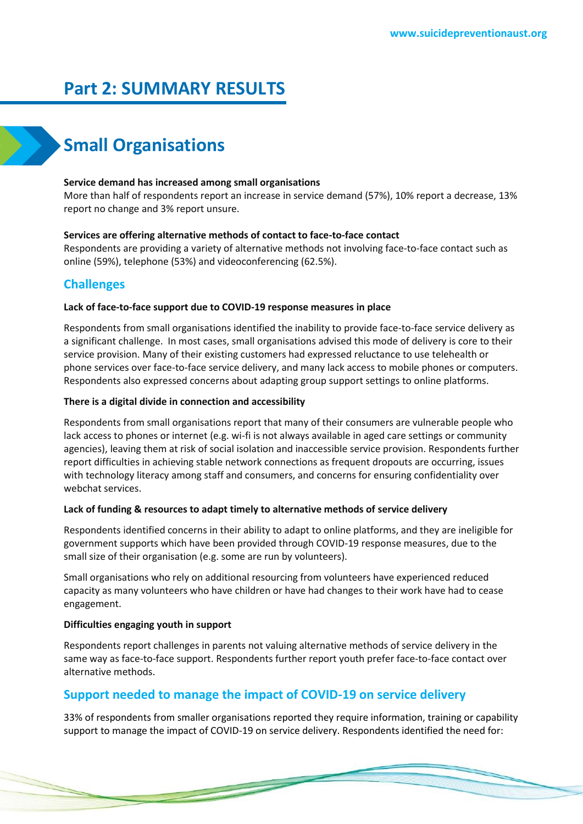## **Part 2: SUMMARY RESULTS**

## **Small Organisations**

## **Service demand has increased among small organisations**

More than half of respondents report an increase in service demand (57%), 10% report a decrease, 13% report no change and 3% report unsure.

## **Services are offering alternative methods of contact to face-to-face contact**

Respondents are providing a variety of alternative methods not involving face-to-face contact such as online (59%), telephone (53%) and videoconferencing (62.5%).

## **Challenges**

## **Lack of face-to-face support due to COVID-19 response measures in place**

Respondents from small organisations identified the inability to provide face-to-face service delivery as a significant challenge. In most cases, small organisations advised this mode of delivery is core to their service provision. Many of their existing customers had expressed reluctance to use telehealth or phone services over face-to-face service delivery, and many lack access to mobile phones or computers. Respondents also expressed concerns about adapting group support settings to online platforms.

## **There is a digital divide in connection and accessibility**

Respondents from small organisations report that many of their consumers are vulnerable people who lack access to phones or internet (e.g. wi-fi is not always available in aged care settings or community agencies), leaving them at risk of social isolation and inaccessible service provision. Respondents further report difficulties in achieving stable network connections as frequent dropouts are occurring, issues with technology literacy among staff and consumers, and concerns for ensuring confidentiality over webchat services.

## **Lack of funding & resources to adapt timely to alternative methods of service delivery**

Respondents identified concerns in their ability to adapt to online platforms, and they are ineligible for government supports which have been provided through COVID-19 response measures, due to the small size of their organisation (e.g. some are run by volunteers).

Small organisations who rely on additional resourcing from volunteers have experienced reduced capacity as many volunteers who have children or have had changes to their work have had to cease engagement.

## **Difficulties engaging youth in support**

Respondents report challenges in parents not valuing alternative methods of service delivery in the same way as face-to-face support. Respondents further report youth prefer face-to-face contact over alternative methods.

## **Support needed to manage the impact of COVID-19 on service delivery**

33% of respondents from smaller organisations reported they require information, training or capability support to manage the impact of COVID-19 on service delivery. Respondents identified the need for: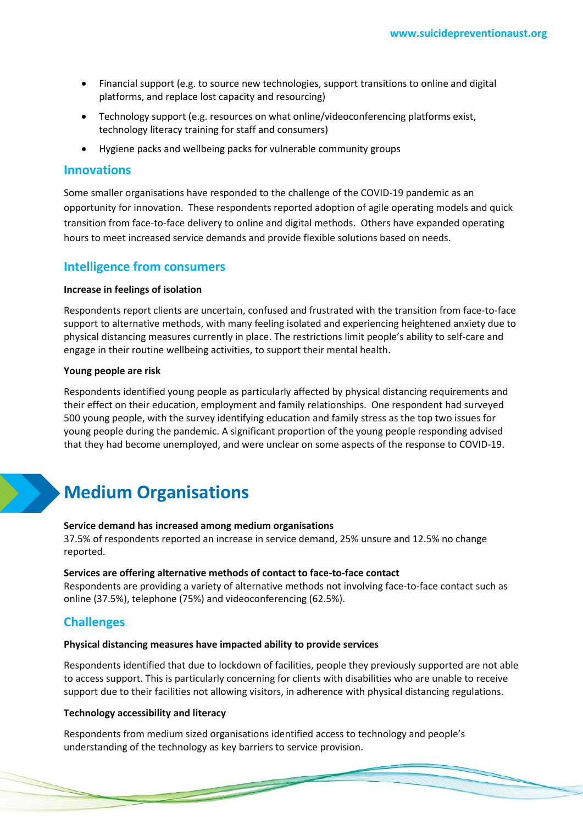- Financial support (e.g. to source new technologies, support transitions to online and digital platforms, and replace lost capacity and resourcing)
- Technology support (e.g. resources on what online/videoconferencing platforms exist, technology literacy training for staff and consumers)
- Hygiene packs and wellbeing packs for vulnerable community groups

## **Innovations**

Some smaller organisations have responded to the challenge of the COVID-19 pandemic as an opportunity for innovation. These respondents reported adoption of agile operating models and quick transition from face-to-face delivery to online and digital methods. Others have expanded operating hours to meet increased service demands and provide flexible solutions based on needs.

## **Intelligence from consumers**

#### **Increase in feelings of isolation**

Respondents report clients are uncertain, confused and frustrated with the transition from face-to-face support to alternative methods, with many feeling isolated and experiencing heightened anxiety due to physical distancing measures currently in place. The restrictions limit people's ability to self-care and engage in their routine wellbeing activities, to support their mental health.

#### **Young people are risk**

Respondents identified young people as particularly affected by physical distancing requirements and their effect on their education, employment and family relationships. One respondent had surveyed 500 young people, with the survey identifying education and family stress as the top two issues for young people during the pandemic. A significant proportion of the young people responding advised that they had become unemployed, and were unclear on some aspects of the response to COVID-19.

## **Medium Organisations**

#### **Service demand has increased among medium organisations**

37.5% of respondents reported an increase in service demand, 25% unsure and 12.5% no change reported.

#### **Services are offering alternative methods of contact to face-to-face contact**

Respondents are providing a variety of alternative methods not involving face-to-face contact such as online (37.5%), telephone (75%) and videoconferencing (62.5%).

## **Challenges**

#### **Physical distancing measures have impacted ability to provide services**

Respondents identified that due to lockdown of facilities, people they previously supported are not able to access support. This is particularly concerning for clients with disabilities who are unable to receive support due to their facilities not allowing visitors, in adherence with physical distancing regulations.

### **Technology accessibility and literacy**

Respondents from medium sized organisations identified access to technology and people's understanding of the technology as key barriers to service provision.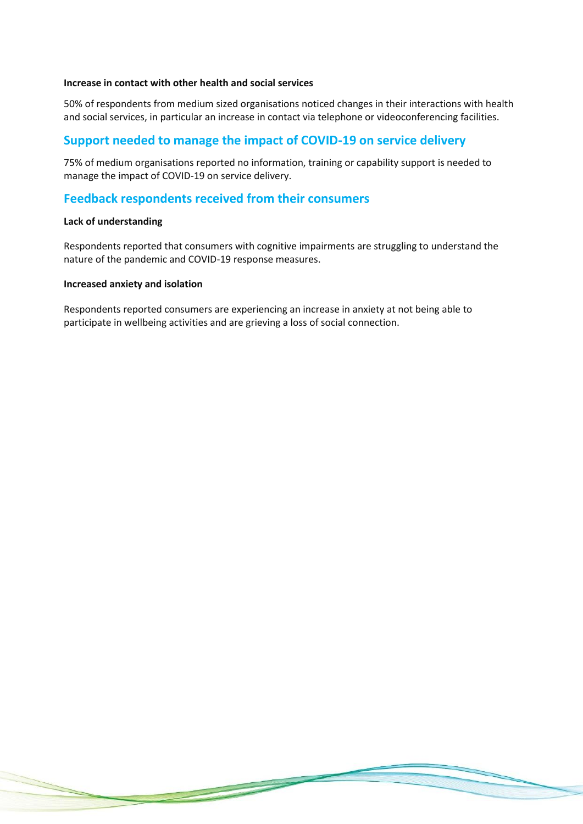## **Increase in contact with other health and social services**

50% of respondents from medium sized organisations noticed changes in their interactions with health and social services, in particular an increase in contact via telephone or videoconferencing facilities.

## **Support needed to manage the impact of COVID-19 on service delivery**

75% of medium organisations reported no information, training or capability support is needed to manage the impact of COVID-19 on service delivery.

## **Feedback respondents received from their consumers**

## **Lack of understanding**

Respondents reported that consumers with cognitive impairments are struggling to understand the nature of the pandemic and COVID-19 response measures.

## **Increased anxiety and isolation**

Respondents reported consumers are experiencing an increase in anxiety at not being able to participate in wellbeing activities and are grieving a loss of social connection.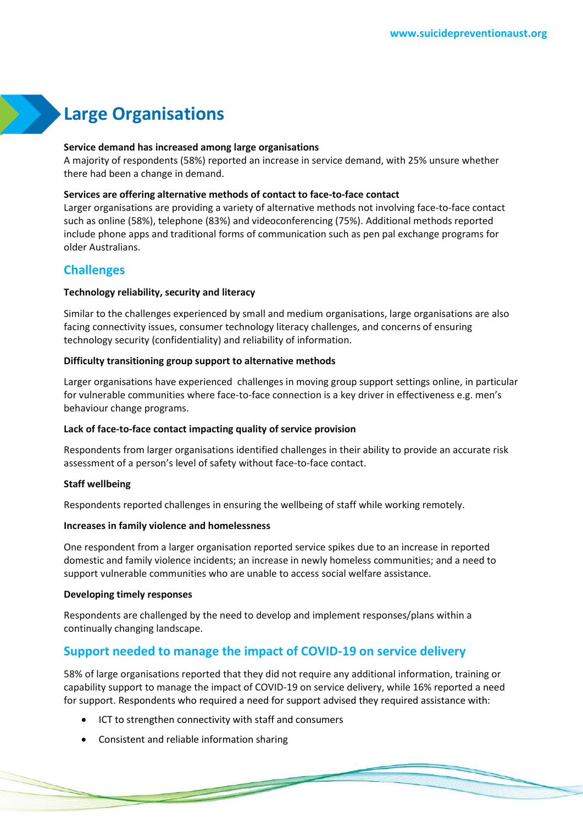## **Large Organisations**

### **Service demand has increased among large organisations**

A majority of respondents (58%) reported an increase in service demand, with 25% unsure whether there had been a change in demand.

#### **Services are offering alternative methods of contact to face-to-face contact**

Larger organisations are providing a variety of alternative methods not involving face-to-face contact such as online (58%), telephone (83%) and videoconferencing (75%). Additional methods reported include phone apps and traditional forms of communication such as pen pal exchange programs for older Australians.

## **Challenges**

### **Technology reliability, security and literacy**

Similar to the challenges experienced by small and medium organisations, large organisations are also facing connectivity issues, consumer technology literacy challenges, and concerns of ensuring technology security (confidentiality) and reliability of information.

#### **Difficulty transitioning group support to alternative methods**

Larger organisations have experienced challenges in moving group support settings online, in particular for vulnerable communities where face-to-face connection is a key driver in effectiveness e.g. men's behaviour change programs.

## **Lack of face-to-face contact impacting quality of service provision**

Respondents from larger organisations identified challenges in their ability to provide an accurate risk assessment of a person's level of safety without face-to-face contact.

### **Staff wellbeing**

Respondents reported challenges in ensuring the wellbeing of staff while working remotely.

#### **Increases in family violence and homelessness**

One respondent from a larger organisation reported service spikes due to an increase in reported domestic and family violence incidents; an increase in newly homeless communities; and a need to support vulnerable communities who are unable to access social welfare assistance.

## **Developing timely responses**

Respondents are challenged by the need to develop and implement responses/plans within a continually changing landscape.

## **Support needed to manage the impact of COVID-19 on service delivery**

58% of large organisations reported that they did not require any additional information, training or capability support to manage the impact of COVID-19 on service delivery, while 16% reported a need for support. Respondents who required a need for support advised they required assistance with:

ICT to strengthen connectivity with staff and consumers

• Consistent and reliable information sharing